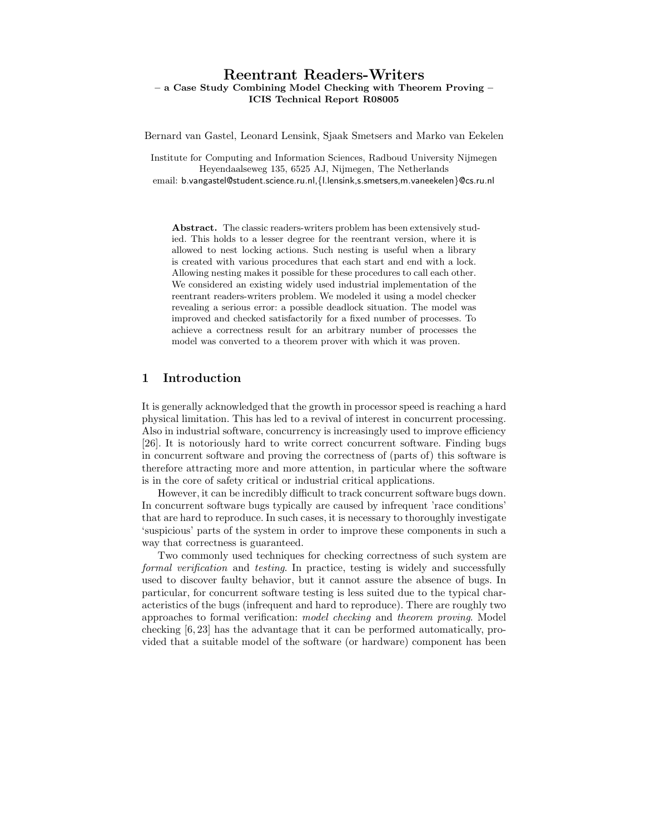# Reentrant Readers-Writers – a Case Study Combining Model Checking with Theorem Proving – ICIS Technical Report R08005

Bernard van Gastel, Leonard Lensink, Sjaak Smetsers and Marko van Eekelen

Institute for Computing and Information Sciences, Radboud University Nijmegen Heyendaalseweg 135, 6525 AJ, Nijmegen, The Netherlands email: b.vangastel@student.science.ru.nl,{l.lensink,s.smetsers,m.vaneekelen}@cs.ru.nl

Abstract. The classic readers-writers problem has been extensively studied. This holds to a lesser degree for the reentrant version, where it is allowed to nest locking actions. Such nesting is useful when a library is created with various procedures that each start and end with a lock. Allowing nesting makes it possible for these procedures to call each other. We considered an existing widely used industrial implementation of the reentrant readers-writers problem. We modeled it using a model checker revealing a serious error: a possible deadlock situation. The model was improved and checked satisfactorily for a fixed number of processes. To achieve a correctness result for an arbitrary number of processes the model was converted to a theorem prover with which it was proven.

# 1 Introduction

It is generally acknowledged that the growth in processor speed is reaching a hard physical limitation. This has led to a revival of interest in concurrent processing. Also in industrial software, concurrency is increasingly used to improve efficiency [26]. It is notoriously hard to write correct concurrent software. Finding bugs in concurrent software and proving the correctness of (parts of) this software is therefore attracting more and more attention, in particular where the software is in the core of safety critical or industrial critical applications.

However, it can be incredibly difficult to track concurrent software bugs down. In concurrent software bugs typically are caused by infrequent 'race conditions' that are hard to reproduce. In such cases, it is necessary to thoroughly investigate 'suspicious' parts of the system in order to improve these components in such a way that correctness is guaranteed.

Two commonly used techniques for checking correctness of such system are formal verification and testing. In practice, testing is widely and successfully used to discover faulty behavior, but it cannot assure the absence of bugs. In particular, for concurrent software testing is less suited due to the typical characteristics of the bugs (infrequent and hard to reproduce). There are roughly two approaches to formal verification: model checking and theorem proving. Model checking [6, 23] has the advantage that it can be performed automatically, provided that a suitable model of the software (or hardware) component has been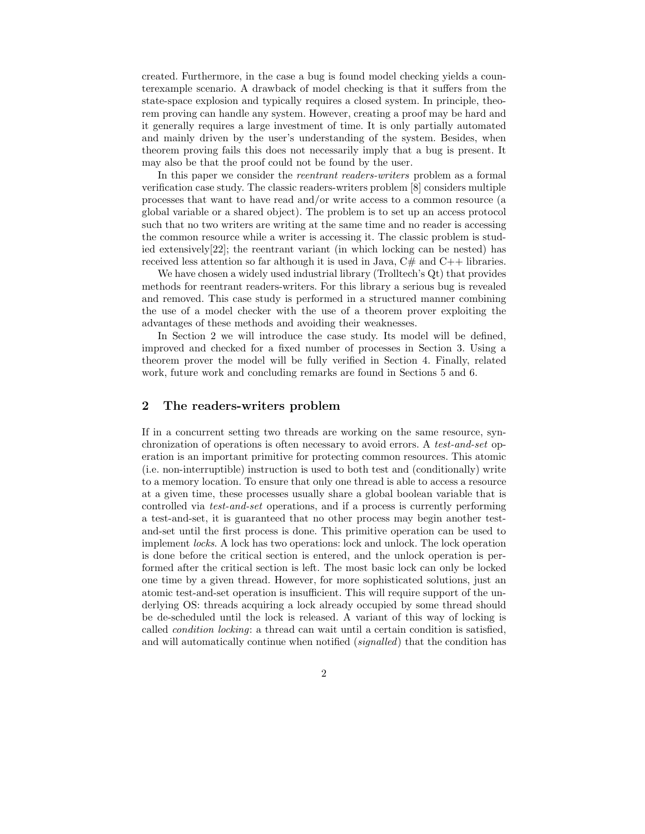created. Furthermore, in the case a bug is found model checking yields a counterexample scenario. A drawback of model checking is that it suffers from the state-space explosion and typically requires a closed system. In principle, theorem proving can handle any system. However, creating a proof may be hard and it generally requires a large investment of time. It is only partially automated and mainly driven by the user's understanding of the system. Besides, when theorem proving fails this does not necessarily imply that a bug is present. It may also be that the proof could not be found by the user.

In this paper we consider the reentrant readers-writers problem as a formal verification case study. The classic readers-writers problem [8] considers multiple processes that want to have read and/or write access to a common resource (a global variable or a shared object). The problem is to set up an access protocol such that no two writers are writing at the same time and no reader is accessing the common resource while a writer is accessing it. The classic problem is studied extensively[22]; the reentrant variant (in which locking can be nested) has received less attention so far although it is used in Java,  $C#$  and  $C++$  libraries.

We have chosen a widely used industrial library (Trolltech's Qt) that provides methods for reentrant readers-writers. For this library a serious bug is revealed and removed. This case study is performed in a structured manner combining the use of a model checker with the use of a theorem prover exploiting the advantages of these methods and avoiding their weaknesses.

In Section 2 we will introduce the case study. Its model will be defined, improved and checked for a fixed number of processes in Section 3. Using a theorem prover the model will be fully verified in Section 4. Finally, related work, future work and concluding remarks are found in Sections 5 and 6.

# 2 The readers-writers problem

If in a concurrent setting two threads are working on the same resource, synchronization of operations is often necessary to avoid errors. A test-and-set operation is an important primitive for protecting common resources. This atomic (i.e. non-interruptible) instruction is used to both test and (conditionally) write to a memory location. To ensure that only one thread is able to access a resource at a given time, these processes usually share a global boolean variable that is controlled via test-and-set operations, and if a process is currently performing a test-and-set, it is guaranteed that no other process may begin another testand-set until the first process is done. This primitive operation can be used to implement locks. A lock has two operations: lock and unlock. The lock operation is done before the critical section is entered, and the unlock operation is performed after the critical section is left. The most basic lock can only be locked one time by a given thread. However, for more sophisticated solutions, just an atomic test-and-set operation is insufficient. This will require support of the underlying OS: threads acquiring a lock already occupied by some thread should be de-scheduled until the lock is released. A variant of this way of locking is called condition locking: a thread can wait until a certain condition is satisfied, and will automatically continue when notified *(signalled)* that the condition has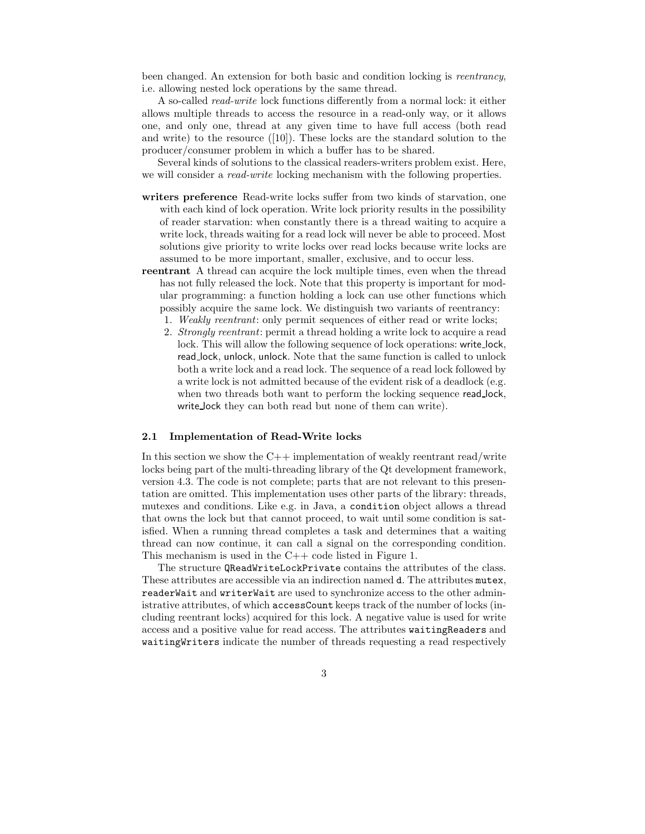been changed. An extension for both basic and condition locking is reentrancy, i.e. allowing nested lock operations by the same thread.

A so-called read-write lock functions differently from a normal lock: it either allows multiple threads to access the resource in a read-only way, or it allows one, and only one, thread at any given time to have full access (both read and write) to the resource ([10]). These locks are the standard solution to the producer/consumer problem in which a buffer has to be shared.

Several kinds of solutions to the classical readers-writers problem exist. Here, we will consider a *read-write* locking mechanism with the following properties.

- writers preference Read-write locks suffer from two kinds of starvation, one with each kind of lock operation. Write lock priority results in the possibility of reader starvation: when constantly there is a thread waiting to acquire a write lock, threads waiting for a read lock will never be able to proceed. Most solutions give priority to write locks over read locks because write locks are assumed to be more important, smaller, exclusive, and to occur less.
- reentrant A thread can acquire the lock multiple times, even when the thread has not fully released the lock. Note that this property is important for modular programming: a function holding a lock can use other functions which possibly acquire the same lock. We distinguish two variants of reentrancy:
	- 1. Weakly reentrant: only permit sequences of either read or write locks;
	- 2. Strongly reentrant: permit a thread holding a write lock to acquire a read lock. This will allow the following sequence of lock operations: write lock, read lock, unlock, unlock. Note that the same function is called to unlock both a write lock and a read lock. The sequence of a read lock followed by a write lock is not admitted because of the evident risk of a deadlock (e.g. when two threads both want to perform the locking sequence read lock, write lock they can both read but none of them can write).

## 2.1 Implementation of Read-Write locks

In this section we show the  $C++$  implementation of weakly reentrant read/write locks being part of the multi-threading library of the Qt development framework, version 4.3. The code is not complete; parts that are not relevant to this presentation are omitted. This implementation uses other parts of the library: threads, mutexes and conditions. Like e.g. in Java, a condition object allows a thread that owns the lock but that cannot proceed, to wait until some condition is satisfied. When a running thread completes a task and determines that a waiting thread can now continue, it can call a signal on the corresponding condition. This mechanism is used in the C++ code listed in Figure 1.

The structure QReadWriteLockPrivate contains the attributes of the class. These attributes are accessible via an indirection named d. The attributes mutex, readerWait and writerWait are used to synchronize access to the other administrative attributes, of which accessCount keeps track of the number of locks (including reentrant locks) acquired for this lock. A negative value is used for write access and a positive value for read access. The attributes waitingReaders and waitingWriters indicate the number of threads requesting a read respectively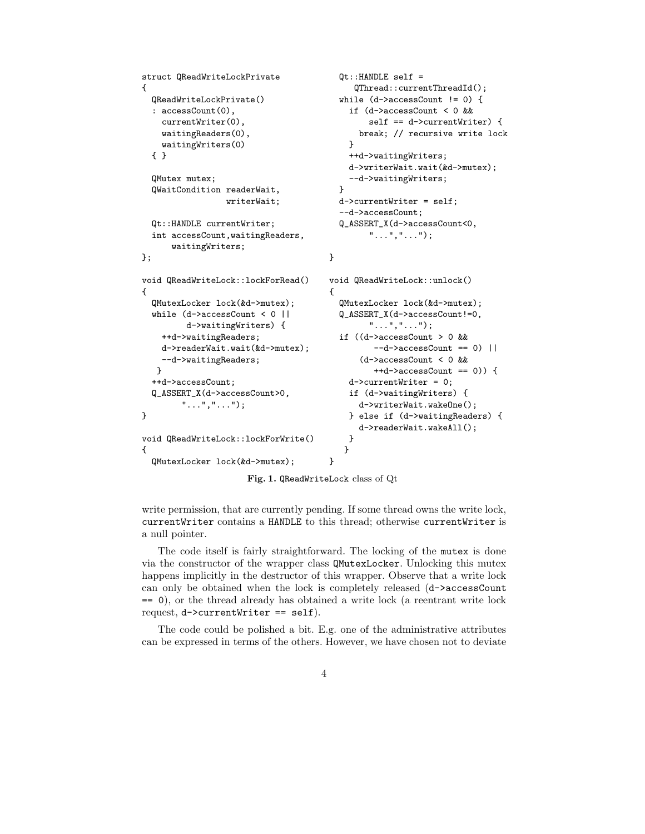```
struct QReadWriteLockPrivate
{
  QReadWriteLockPrivate()
  : accessCount(0),
    currentWriter(0),
    waitingReaders(0),
    waitingWriters(0)
  { }
  QMutex mutex;
  QWaitCondition readerWait,
                 writerWait;
  Qt::HANDLE currentWriter;
  int accessCount,waitingReaders,
      waitingWriters;
};
void QReadWriteLock::lockForRead()
{
  QMutexLocker lock(&d->mutex);
 while (d-\lambda)accessCount < 0 ||
         d->waitingWriters) {
    ++d->waitingReaders;
    d->readerWait.wait(&d->mutex);
    --d->waitingReaders;
   }
  ++d->accessCount;
  Q_ASSERT_X(d->accessCount>0,
        "...","...");
}
void QReadWriteLock::lockForWrite()
{
  QMutexLocker lock(&d->mutex);
                                         Qt::HANDLE self =
                                            QThread::currentThreadId();
                                         while (d->accessCount != 0) {
                                           if (d->accessCount < 0 &&
                                               self == d->currentWriter) {
                                             break; // recursive write lock
                                           }
                                           ++d->waitingWriters;
                                           d->writerWait.wait(&d->mutex);
                                           --d->waitingWriters;
                                         }
                                         d->currentWriter = self;
                                         --d->accessCount;
                                         Q_ASSERT_X(d->accessCount<0,
                                               "...","...");
                                       }
                                       void QReadWriteLock::unlock()
                                       {
                                         QMutexLocker lock(&d->mutex);
                                         Q_ASSERT_X(d->accessCount!=0,
                                               "...","...");
                                         if ((d->accessCount > 0 &&
                                                 - -d ->\text{accessCount} == 0) ||
                                             (d->accessCount < 0 &&
                                                ++d->accessCount == 0)) {
                                           d->currentWriter = 0;
                                           if (d->waitingWriters) {
                                             d->writerWait.wakeOne();
                                           } else if (d->waitingReaders) {
                                             d->readerWait.wakeAll();
                                           }
                                          }
                                       }
```
Fig. 1. QReadWriteLock class of Qt

write permission, that are currently pending. If some thread owns the write lock, currentWriter contains a HANDLE to this thread; otherwise currentWriter is a null pointer.

The code itself is fairly straightforward. The locking of the mutex is done via the constructor of the wrapper class QMutexLocker. Unlocking this mutex happens implicitly in the destructor of this wrapper. Observe that a write lock can only be obtained when the lock is completely released (d->accessCount == 0), or the thread already has obtained a write lock (a reentrant write lock request, d->currentWriter == self).

The code could be polished a bit. E.g. one of the administrative attributes can be expressed in terms of the others. However, we have chosen not to deviate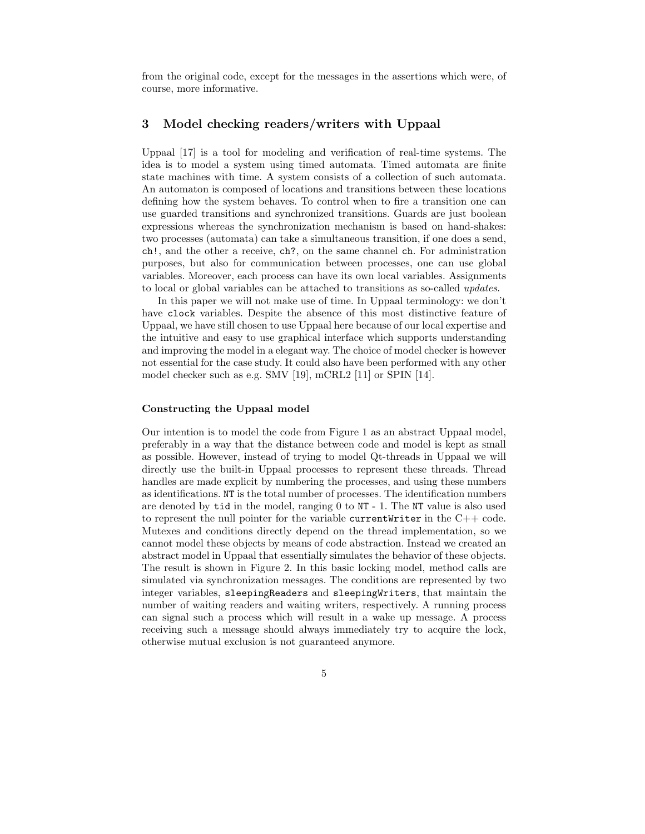from the original code, except for the messages in the assertions which were, of course, more informative.

# 3 Model checking readers/writers with Uppaal

Uppaal [17] is a tool for modeling and verification of real-time systems. The idea is to model a system using timed automata. Timed automata are finite state machines with time. A system consists of a collection of such automata. An automaton is composed of locations and transitions between these locations defining how the system behaves. To control when to fire a transition one can use guarded transitions and synchronized transitions. Guards are just boolean expressions whereas the synchronization mechanism is based on hand-shakes: two processes (automata) can take a simultaneous transition, if one does a send, ch!, and the other a receive, ch?, on the same channel ch. For administration purposes, but also for communication between processes, one can use global variables. Moreover, each process can have its own local variables. Assignments to local or global variables can be attached to transitions as so-called updates.

In this paper we will not make use of time. In Uppaal terminology: we don't have clock variables. Despite the absence of this most distinctive feature of Uppaal, we have still chosen to use Uppaal here because of our local expertise and the intuitive and easy to use graphical interface which supports understanding and improving the model in a elegant way. The choice of model checker is however not essential for the case study. It could also have been performed with any other model checker such as e.g. SMV [19], mCRL2 [11] or SPIN [14].

## Constructing the Uppaal model

Our intention is to model the code from Figure 1 as an abstract Uppaal model, preferably in a way that the distance between code and model is kept as small as possible. However, instead of trying to model Qt-threads in Uppaal we will directly use the built-in Uppaal processes to represent these threads. Thread handles are made explicit by numbering the processes, and using these numbers as identifications. NT is the total number of processes. The identification numbers are denoted by tid in the model, ranging 0 to NT - 1. The NT value is also used to represent the null pointer for the variable current Writer in the  $C++$  code. Mutexes and conditions directly depend on the thread implementation, so we cannot model these objects by means of code abstraction. Instead we created an abstract model in Uppaal that essentially simulates the behavior of these objects. The result is shown in Figure 2. In this basic locking model, method calls are simulated via synchronization messages. The conditions are represented by two integer variables, sleepingReaders and sleepingWriters, that maintain the number of waiting readers and waiting writers, respectively. A running process can signal such a process which will result in a wake up message. A process receiving such a message should always immediately try to acquire the lock, otherwise mutual exclusion is not guaranteed anymore.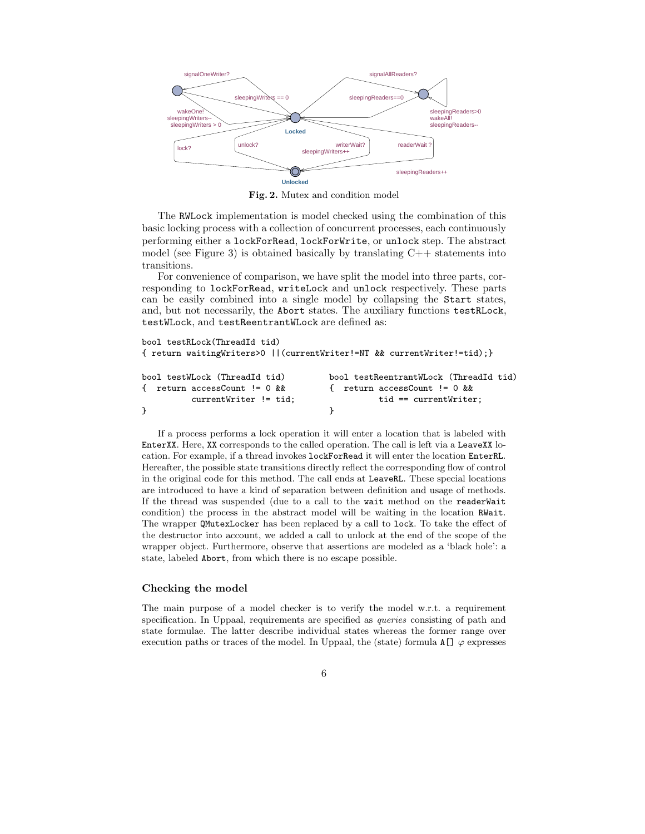

Fig. 2. Mutex and condition model

The RWLock implementation is model checked using the combination of this basic locking process with a collection of concurrent processes, each continuously performing either a lockForRead, lockForWrite, or unlock step. The abstract model (see Figure 3) is obtained basically by translating  $C++$  statements into transitions.

For convenience of comparison, we have split the model into three parts, corresponding to lockForRead, writeLock and unlock respectively. These parts can be easily combined into a single model by collapsing the Start states, and, but not necessarily, the Abort states. The auxiliary functions testRLock, testWLock, and testReentrantWLock are defined as:

```
bool testRLock(ThreadId tid)
{ return waitingWriters>0 ||(currentWriter!=NT && currentWriter!=tid);}
bool testWLock (ThreadId tid)
{ return accessCount != 0 &&
          currentWriter != tid;
                                      bool testReentrantWLock (ThreadId tid)
                                      { return accessCount != 0 &&
                                                tid == currentWriter;
```
}

If a process performs a lock operation it will enter a location that is labeled with EnterXX. Here, XX corresponds to the called operation. The call is left via a LeaveXX location. For example, if a thread invokes lockForRead it will enter the location EnterRL. Hereafter, the possible state transitions directly reflect the corresponding flow of control in the original code for this method. The call ends at LeaveRL. These special locations are introduced to have a kind of separation between definition and usage of methods. If the thread was suspended (due to a call to the wait method on the readerWait condition) the process in the abstract model will be waiting in the location RWait. The wrapper QMutexLocker has been replaced by a call to lock. To take the effect of the destructor into account, we added a call to unlock at the end of the scope of the wrapper object. Furthermore, observe that assertions are modeled as a 'black hole': a state, labeled Abort, from which there is no escape possible.

### Checking the model

}

The main purpose of a model checker is to verify the model w.r.t. a requirement specification. In Uppaal, requirements are specified as *queries* consisting of path and state formulae. The latter describe individual states whereas the former range over execution paths or traces of the model. In Uppaal, the (state) formula  $\Lambda$ []  $\varphi$  expresses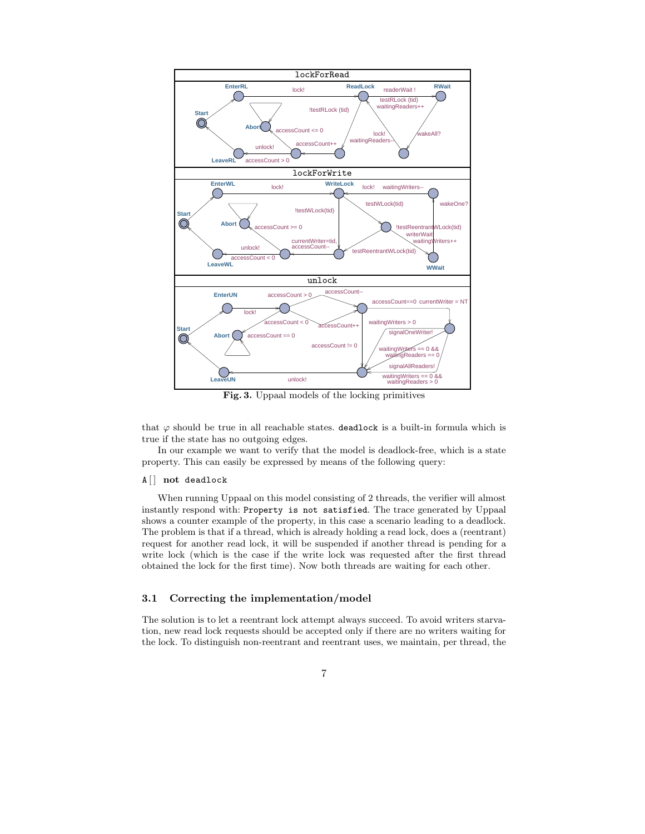

Fig. 3. Uppaal models of the locking primitives

that  $\varphi$  should be true in all reachable states. deadlock is a built-in formula which is true if the state has no outgoing edges.

In our example we want to verify that the model is deadlock-free, which is a state property. This can easily be expressed by means of the following query:

## $A[$  not deadlock

When running Uppaal on this model consisting of 2 threads, the verifier will almost instantly respond with: Property is not satisfied. The trace generated by Uppaal shows a counter example of the property, in this case a scenario leading to a deadlock. The problem is that if a thread, which is already holding a read lock, does a (reentrant) request for another read lock, it will be suspended if another thread is pending for a write lock (which is the case if the write lock was requested after the first thread obtained the lock for the first time). Now both threads are waiting for each other.

## 3.1 Correcting the implementation/model

The solution is to let a reentrant lock attempt always succeed. To avoid writers starvation, new read lock requests should be accepted only if there are no writers waiting for the lock. To distinguish non-reentrant and reentrant uses, we maintain, per thread, the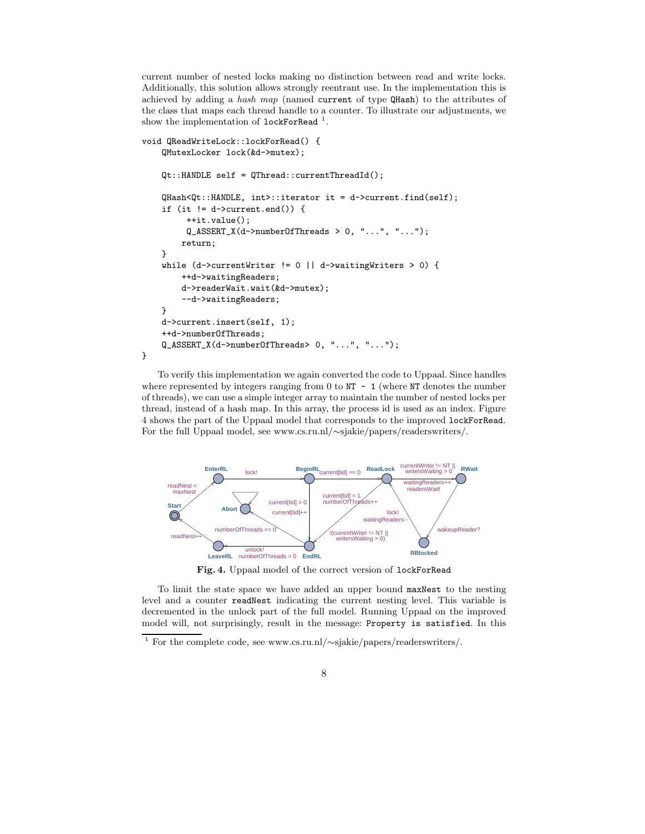current number of nested locks making no distinction between read and write locks. Additionally, this solution allows strongly reentrant use. In the implementation this is achieved by adding a *hash map* (named current of type QHash) to the attributes of the class that maps each thread handle to a counter. To illustrate our adjustments, we show the implementation of  $\texttt{lockForRead}$ <sup>1</sup>.

```
void QReadWriteLock::lockForRead() {
    QMutexLocker lock(&d->mutex);
    Qt::HANDLE self = QThread::currentThreadId();
    QHash<Qt::HANDLE, int>::iterator it = d->current.find(self);
    if (it != d->current.end()) {
         ++it.value();
         Q_ASKT_X(d->numberOfThreads > 0, "...", "...");
       return;
    }
    while (d->currentWriter != 0 || d->waitingWriters > 0) {
       ++d->waitingReaders;
       d->readerWait.wait(&d->mutex);
        --d->waitingReaders;
    }
    d->current.insert(self, 1);
    ++d->numberOfThreads;
    Q_ASSERT_X(d->numberOfThreads> 0, "...", "...");
}
```
To verify this implementation we again converted the code to Uppaal. Since handles where represented by integers ranging from 0 to  $NT - 1$  (where NT denotes the number of threads), we can use a simple integer array to maintain the number of nested locks per thread, instead of a hash map. In this array, the process id is used as an index. Figure 4 shows the part of the Uppaal model that corresponds to the improved lockForRead. For the full Uppaal model, see www.cs.ru.nl/∼sjakie/papers/readerswriters/.



Fig. 4. Uppaal model of the correct version of lockForRead

To limit the state space we have added an upper bound maxNest to the nesting level and a counter readNest indicating the current nesting level. This variable is decremented in the unlock part of the full model. Running Uppaal on the improved model will, not surprisingly, result in the message: Property is satisfied. In this

<sup>1</sup> For the complete code, see www.cs.ru.nl/∼sjakie/papers/readerswriters/.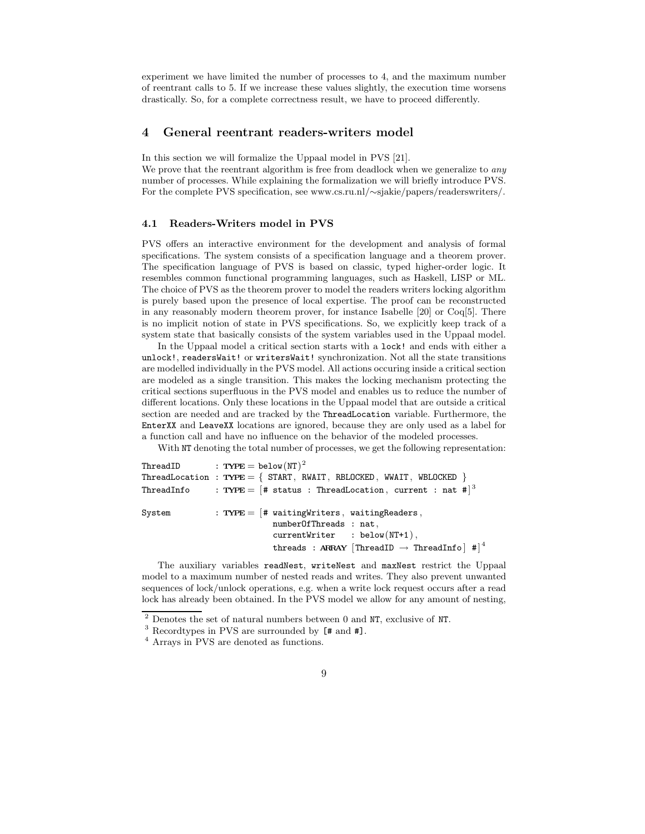experiment we have limited the number of processes to 4, and the maximum number of reentrant calls to 5. If we increase these values slightly, the execution time worsens drastically. So, for a complete correctness result, we have to proceed differently.

## 4 General reentrant readers-writers model

In this section we will formalize the Uppaal model in PVS [21]. We prove that the reentrant algorithm is free from deadlock when we generalize to *any* number of processes. While explaining the formalization we will briefly introduce PVS. For the complete PVS specification, see www.cs.ru.nl/∼sjakie/papers/readerswriters/.

### 4.1 Readers-Writers model in PVS

PVS offers an interactive environment for the development and analysis of formal specifications. The system consists of a specification language and a theorem prover. The specification language of PVS is based on classic, typed higher-order logic. It resembles common functional programming languages, such as Haskell, LISP or ML. The choice of PVS as the theorem prover to model the readers writers locking algorithm is purely based upon the presence of local expertise. The proof can be reconstructed in any reasonably modern theorem prover, for instance Isabelle [20] or Coq[5]. There is no implicit notion of state in PVS specifications. So, we explicitly keep track of a system state that basically consists of the system variables used in the Uppaal model.

In the Uppaal model a critical section starts with a lock! and ends with either a unlock!, readersWait! or writersWait! synchronization. Not all the state transitions are modelled individually in the PVS model. All actions occuring inside a critical section are modeled as a single transition. This makes the locking mechanism protecting the critical sections superfluous in the PVS model and enables us to reduce the number of different locations. Only these locations in the Uppaal model that are outside a critical section are needed and are tracked by the ThreadLocation variable. Furthermore, the EnterXX and LeaveXX locations are ignored, because they are only used as a label for a function call and have no influence on the behavior of the modeled processes.

With NT denoting the total number of processes, we get the following representation:

```
\mathtt{ThreadID} \qquad \quad \colon \mathbf{TYPE} = \mathtt{below}(\mathtt{NT})^2ThreadLocation : \text{TYPE} = \{ \text{ START}, \text{RWAIT}, \text{RELOCKED}, \text{WMAIT}, \text{WBLOCKED} \}ThreadInfo \quad \quad : \text{ Type} = \left[ \text{\# status} \, : \, \text{ThreadLocation}, \, \, \text{current} \, : \, \text{nat} \, \, \text{\#} \right]^{3}System : TYPE = # waitingWriters, waitingReaders,
                                           numberOfThreads : nat,
                                           currentWriter : below(NT+1),
                                            threads : ARRAY [ThreadID \rightarrow ThreadInfo] #]<sup>4</sup>
```
The auxiliary variables readNest, writeNest and maxNest restrict the Uppaal model to a maximum number of nested reads and writes. They also prevent unwanted sequences of lock/unlock operations, e.g. when a write lock request occurs after a read lock has already been obtained. In the PVS model we allow for any amount of nesting,

 $^2$  Denotes the set of natural numbers between 0 and  $\texttt{NT},$  exclusive of  $\texttt{NT}.$ 

 $^3$  Record<br>types in PVS are surrounded by  $[\![\# \text{ and } \#]\!]$  .

 $^4$  Arrays in PVS are denoted as functions.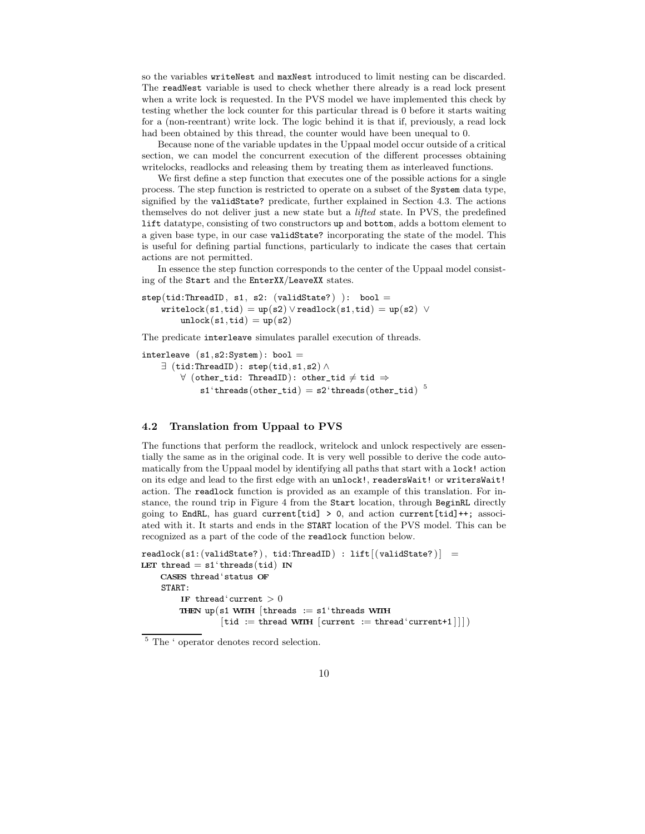so the variables writeNest and maxNest introduced to limit nesting can be discarded. The readNest variable is used to check whether there already is a read lock present when a write lock is requested. In the PVS model we have implemented this check by testing whether the lock counter for this particular thread is 0 before it starts waiting for a (non-reentrant) write lock. The logic behind it is that if, previously, a read lock had been obtained by this thread, the counter would have been unequal to 0.

Because none of the variable updates in the Uppaal model occur outside of a critical section, we can model the concurrent execution of the different processes obtaining writelocks, readlocks and releasing them by treating them as interleaved functions.

We first define a step function that executes one of the possible actions for a single process. The step function is restricted to operate on a subset of the System data type, signified by the validState? predicate, further explained in Section 4.3. The actions themselves do not deliver just a new state but a *lifted* state. In PVS, the predefined lift datatype, consisting of two constructors up and bottom, adds a bottom element to a given base type, in our case validState? incorporating the state of the model. This is useful for defining partial functions, particularly to indicate the cases that certain actions are not permitted.

In essence the step function corresponds to the center of the Uppaal model consisting of the Start and the EnterXX/LeaveXX states.

 $step(tid:ThreadID, s1, s2: (validState?)): bool =$ writelock(s1,tid) = up(s2)  $\lor$  readlock(s1,tid) = up(s2)  $\lor$  $\text{unlock}(s1,\text{tid}) = \text{up}(s2)$ 

The predicate interleave simulates parallel execution of threads.

```
interleave (s1,s2:System): bool =∃ (tid:ThreadID): step(tid,s1,s2) ∧
         \forall (other_tid: ThreadID): other_tid \neq tid \Rightarrow{\tt s1'threads(other\_tid)}={\tt s2'threads(other\_tid)}^{-5}
```
## 4.2 Translation from Uppaal to PVS

The functions that perform the readlock, writelock and unlock respectively are essentially the same as in the original code. It is very well possible to derive the code automatically from the Uppaal model by identifying all paths that start with a lock! action on its edge and lead to the first edge with an unlock!, readersWait! or writersWait! action. The readlock function is provided as an example of this translation. For instance, the round trip in Figure 4 from the Start location, through BeginRL directly going to EndRL, has guard current  $[tid] > 0$ , and action current  $[tid]$ ++; associated with it. It starts and ends in the START location of the PVS model. This can be recognized as a part of the code of the readlock function below.

```
readlock(s1:(validState?), tid:ThreadID) : lift[(validState?)] =LET thread = s1' threads (tid) IN
    CASES thread 'status OF
    START:
         IF thread 'current > 0THEN up(s1 WITH [threads := s1'threads WITH
                   [\text{tid} := \text{thread WIIIH} [\text{current} := \text{thread}' \text{current+1}]]
```
 $^5$  The  $^{\prime}$  operator denotes record selection.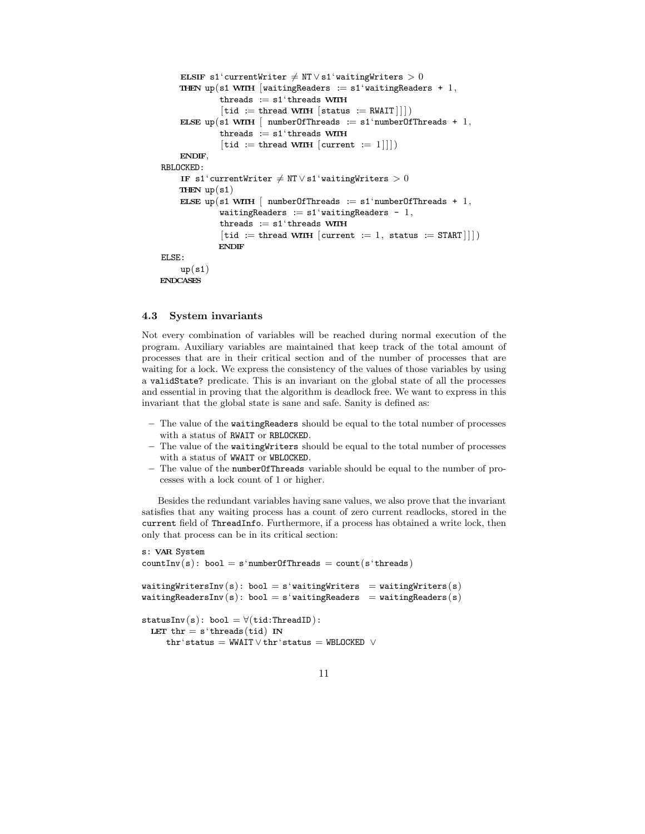```
ELSIF s1'currentWriter \neq NT∨s1'waitingWriters > 0THEN up(s1 WITH [waitingReaders := s1' waitingReaders + 1,
             threads := s1'threads WITH
             [\text{tid} := \text{thread WITH} [\text{status} := \text{RWAIT}]]ELSE up(s1 WITH \lceil numberOfThreads := s1'numberOfThreads + 1,
             threads := s1'threads WITH
             [tid := thread WITH |current := 1||]
    ENDIF,
RBLOCKED:
    IF s1'currentWriter \neq NT \vee s1'waitingWriters > 0THEN up(s1)ELSE up(s1 WITH \lceil numberOfThreads := s1'numberOfThreads + 1,
             waitingReaders := s1'waitingReaders - 1,
             threads := s1'threads WITH
             [tid := thread WITH [current := 1, status := START]]])
             ENDIF
ELSF:
    up(s1)ENDCASES
```
#### 4.3 System invariants

Not every combination of variables will be reached during normal execution of the program. Auxiliary variables are maintained that keep track of the total amount of processes that are in their critical section and of the number of processes that are waiting for a lock. We express the consistency of the values of those variables by using a validState? predicate. This is an invariant on the global state of all the processes and essential in proving that the algorithm is deadlock free. We want to express in this invariant that the global state is sane and safe. Sanity is defined as:

- The value of the waitingReaders should be equal to the total number of processes with a status of RWAIT or RBLOCKED.
- The value of the waitingWriters should be equal to the total number of processes with a status of WWAIT or WBLOCKED.
- The value of the numberOfThreads variable should be equal to the number of processes with a lock count of 1 or higher.

Besides the redundant variables having sane values, we also prove that the invariant satisfies that any waiting process has a count of zero current readlocks, stored in the current field of ThreadInfo. Furthermore, if a process has obtained a write lock, then only that process can be in its critical section:

```
s: VAR System
countInv(s): bool = s'numberOfThreads = count(s'threads)waitingWritersInv(s): bool = s'waitingWriters = waitingWriters(s)
waitingReadersInv(s): bool = s'waitingReaders = waitingReaders(s)
statusInv(s): bool = \forall (tid:ThreadID):LET thr = s'threads(tid) IN
     thr'status = WWAIT ∨thr'status = WBLOCKED ∨
```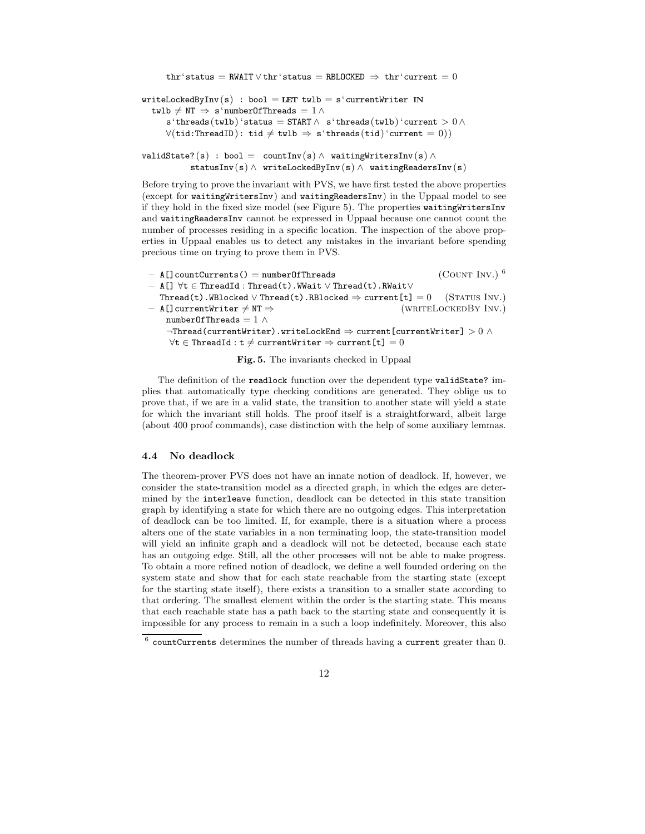```
\mathtt{thr}\texttt{'} \mathtt{status} = \mathtt{RWAIT} \lor \mathtt{thr}\texttt{'} \mathtt{status} = \mathtt{RBLOCKED} \ \Rightarrow \ \mathtt{thr}\texttt{'} \mathtt{current} = 0writeLockedByInv(s) : bool = LET twlb = s'currentWriter IN
   twlb \neq NT \Rightarrow s'numberOfThreads = 1∧
       s'threads(twlb) 'status = START \land s'threads(twlb) 'current > 0 \land\forall(tid:ThreadID): tid \neq twlb \Rightarrow s'threads(tid) 'current = 0))
validState?(s) : bool = countInv(s) \land waitingWritersInv(s) \land
```
 $statusInv(s) \wedge writeLockedByInv(s) \wedge waitingReadersInv(s)$ 

Before trying to prove the invariant with PVS, we have first tested the above properties (except for waitingWritersInv) and waitingReadersInv) in the Uppaal model to see if they hold in the fixed size model (see Figure 5). The properties waitingWritersInv and waitingReadersInv cannot be expressed in Uppaal because one cannot count the number of processes residing in a specific location. The inspection of the above properties in Uppaal enables us to detect any mistakes in the invariant before spending precious time on trying to prove them in PVS.

| $-$ A[]countCurrents() = numberOfThreads                                                       | (COUNT INV.) $^6$    |
|------------------------------------------------------------------------------------------------|----------------------|
| $-$ A[] $\forall t \in$ ThreadId : Thread(t). WWait $\vee$ Thread(t). RWait $\vee$             |                      |
| Thread(t).WBlocked $\vee$ Thread(t).RBlocked $\Rightarrow$ current [t] = 0 (STATUS INV.)       |                      |
| $-$ A[] currentWriter $\neq$ NT $\Rightarrow$                                                  | (WRITELOCKEDBY INV.) |
| numberOfThreads = $1 \wedge$                                                                   |                      |
| $\lnot$ Thread(currentWriter).writeLockEnd $\Rightarrow$ current[currentWriter] $>0$ $\land$   |                      |
| $\forall t \in \text{ThreadId}: t \neq \text{currentWriter} \Rightarrow \text{current}[t] = 0$ |                      |

Fig. 5. The invariants checked in Uppaal

The definition of the readlock function over the dependent type validState? implies that automatically type checking conditions are generated. They oblige us to prove that, if we are in a valid state, the transition to another state will yield a state for which the invariant still holds. The proof itself is a straightforward, albeit large (about 400 proof commands), case distinction with the help of some auxiliary lemmas.

### 4.4 No deadlock

The theorem-prover PVS does not have an innate notion of deadlock. If, however, we consider the state-transition model as a directed graph, in which the edges are determined by the interleave function, deadlock can be detected in this state transition graph by identifying a state for which there are no outgoing edges. This interpretation of deadlock can be too limited. If, for example, there is a situation where a process alters one of the state variables in a non terminating loop, the state-transition model will yield an infinite graph and a deadlock will not be detected, because each state has an outgoing edge. Still, all the other processes will not be able to make progress. To obtain a more refined notion of deadlock, we define a well founded ordering on the system state and show that for each state reachable from the starting state (except for the starting state itself), there exists a transition to a smaller state according to that ordering. The smallest element within the order is the starting state. This means that each reachable state has a path back to the starting state and consequently it is impossible for any process to remain in a such a loop indefinitely. Moreover, this also

 $6$  countCurrents determines the number of threads having a current greater than 0.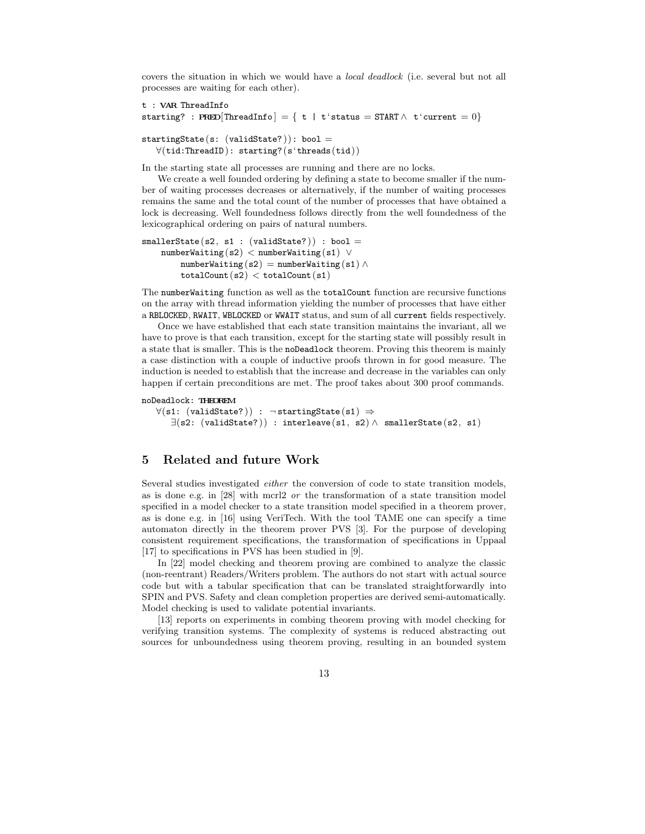covers the situation in which we would have a *local deadlock* (i.e. several but not all processes are waiting for each other).

```
t : VAR ThreadInfo
starting? : PRED[ThreadInfo] = { t | t'status = START \wedge t'current = 0}
startingState(s: (validState?)): bool =∀(tid:ThreadID): starting?(s'threads(tid))
```
In the starting state all processes are running and there are no locks.

We create a well founded ordering by defining a state to become smaller if the number of waiting processes decreases or alternatively, if the number of waiting processes remains the same and the total count of the number of processes that have obtained a lock is decreasing. Well foundedness follows directly from the well foundedness of the lexicographical ordering on pairs of natural numbers.

```
smallerState(s2, s1 : (validState?)): bool =numberWaiting(s2) < numberWaiting(s1) ∨
        numberWaiting(s2) = numberWaiting(s1) \wedgetotalCount(s2) < totalCount(s1)
```
The numberWaiting function as well as the totalCount function are recursive functions on the array with thread information yielding the number of processes that have either a RBLOCKED, RWAIT, WBLOCKED or WWAIT status, and sum of all current fields respectively.

Once we have established that each state transition maintains the invariant, all we have to prove is that each transition, except for the starting state will possibly result in a state that is smaller. This is the noDeadlock theorem. Proving this theorem is mainly a case distinction with a couple of inductive proofs thrown in for good measure. The induction is needed to establish that the increase and decrease in the variables can only happen if certain preconditions are met. The proof takes about 300 proof commands.

#### noDeadlock: THEOREM

```
\forall(s1: (validState?)) : ¬startingState(s1) \Rightarrow\exists (s2: (validState?)): interleave(s1, s2) \wedge smallerState(s2, s1)
```
# 5 Related and future Work

Several studies investigated *either* the conversion of code to state transition models, as is done e.g. in [28] with mcrl2 *or* the transformation of a state transition model specified in a model checker to a state transition model specified in a theorem prover, as is done e.g. in [16] using VeriTech. With the tool TAME one can specify a time automaton directly in the theorem prover PVS [3]. For the purpose of developing consistent requirement specifications, the transformation of specifications in Uppaal [17] to specifications in PVS has been studied in [9].

In [22] model checking and theorem proving are combined to analyze the classic (non-reentrant) Readers/Writers problem. The authors do not start with actual source code but with a tabular specification that can be translated straightforwardly into SPIN and PVS. Safety and clean completion properties are derived semi-automatically. Model checking is used to validate potential invariants.

[13] reports on experiments in combing theorem proving with model checking for verifying transition systems. The complexity of systems is reduced abstracting out sources for unboundedness using theorem proving, resulting in an bounded system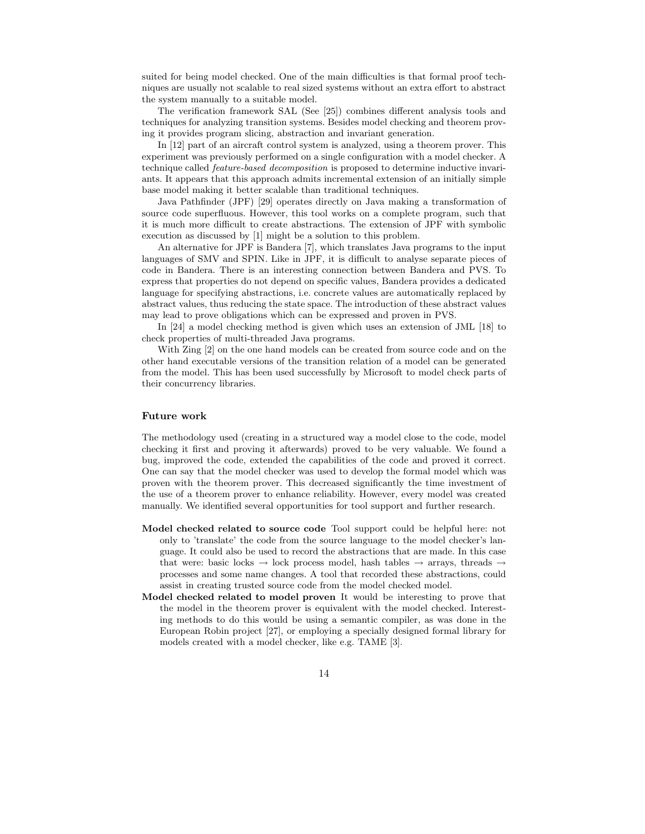suited for being model checked. One of the main difficulties is that formal proof techniques are usually not scalable to real sized systems without an extra effort to abstract the system manually to a suitable model.

The verification framework SAL (See [25]) combines different analysis tools and techniques for analyzing transition systems. Besides model checking and theorem proving it provides program slicing, abstraction and invariant generation.

In [12] part of an aircraft control system is analyzed, using a theorem prover. This experiment was previously performed on a single configuration with a model checker. A technique called *feature-based decomposition* is proposed to determine inductive invariants. It appears that this approach admits incremental extension of an initially simple base model making it better scalable than traditional techniques.

Java Pathfinder (JPF) [29] operates directly on Java making a transformation of source code superfluous. However, this tool works on a complete program, such that it is much more difficult to create abstractions. The extension of JPF with symbolic execution as discussed by [1] might be a solution to this problem.

An alternative for JPF is Bandera [7], which translates Java programs to the input languages of SMV and SPIN. Like in JPF, it is difficult to analyse separate pieces of code in Bandera. There is an interesting connection between Bandera and PVS. To express that properties do not depend on specific values, Bandera provides a dedicated language for specifying abstractions, i.e. concrete values are automatically replaced by abstract values, thus reducing the state space. The introduction of these abstract values may lead to prove obligations which can be expressed and proven in PVS.

In [24] a model checking method is given which uses an extension of JML [18] to check properties of multi-threaded Java programs.

With Zing [2] on the one hand models can be created from source code and on the other hand executable versions of the transition relation of a model can be generated from the model. This has been used successfully by Microsoft to model check parts of their concurrency libraries.

### Future work

The methodology used (creating in a structured way a model close to the code, model checking it first and proving it afterwards) proved to be very valuable. We found a bug, improved the code, extended the capabilities of the code and proved it correct. One can say that the model checker was used to develop the formal model which was proven with the theorem prover. This decreased significantly the time investment of the use of a theorem prover to enhance reliability. However, every model was created manually. We identified several opportunities for tool support and further research.

- Model checked related to source code Tool support could be helpful here: not only to 'translate' the code from the source language to the model checker's language. It could also be used to record the abstractions that are made. In this case that were: basic locks  $\rightarrow$  lock process model, hash tables  $\rightarrow$  arrays, threads  $\rightarrow$ processes and some name changes. A tool that recorded these abstractions, could assist in creating trusted source code from the model checked model.
- Model checked related to model proven It would be interesting to prove that the model in the theorem prover is equivalent with the model checked. Interesting methods to do this would be using a semantic compiler, as was done in the European Robin project [27], or employing a specially designed formal library for models created with a model checker, like e.g. TAME [3].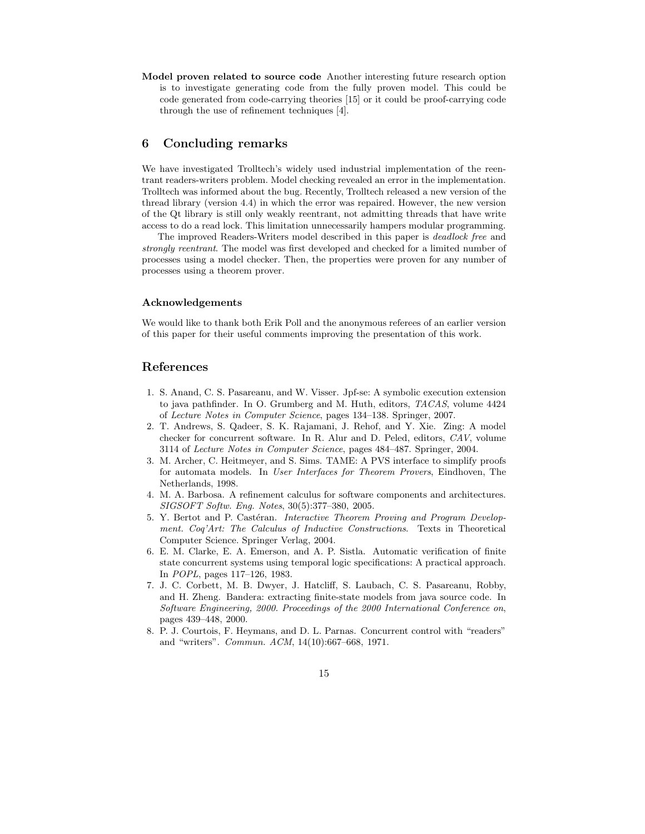Model proven related to source code Another interesting future research option is to investigate generating code from the fully proven model. This could be code generated from code-carrying theories [15] or it could be proof-carrying code through the use of refinement techniques [4].

## 6 Concluding remarks

We have investigated Trolltech's widely used industrial implementation of the reentrant readers-writers problem. Model checking revealed an error in the implementation. Trolltech was informed about the bug. Recently, Trolltech released a new version of the thread library (version 4.4) in which the error was repaired. However, the new version of the Qt library is still only weakly reentrant, not admitting threads that have write access to do a read lock. This limitation unnecessarily hampers modular programming.

The improved Readers-Writers model described in this paper is *deadlock free* and *strongly reentrant*. The model was first developed and checked for a limited number of processes using a model checker. Then, the properties were proven for any number of processes using a theorem prover.

#### Acknowledgements

We would like to thank both Erik Poll and the anonymous referees of an earlier version of this paper for their useful comments improving the presentation of this work.

## References

- 1. S. Anand, C. S. Pasareanu, and W. Visser. Jpf-se: A symbolic execution extension to java pathfinder. In O. Grumberg and M. Huth, editors, *TACAS*, volume 4424 of *Lecture Notes in Computer Science*, pages 134–138. Springer, 2007.
- 2. T. Andrews, S. Qadeer, S. K. Rajamani, J. Rehof, and Y. Xie. Zing: A model checker for concurrent software. In R. Alur and D. Peled, editors, *CAV*, volume 3114 of *Lecture Notes in Computer Science*, pages 484–487. Springer, 2004.
- 3. M. Archer, C. Heitmeyer, and S. Sims. TAME: A PVS interface to simplify proofs for automata models. In *User Interfaces for Theorem Provers*, Eindhoven, The Netherlands, 1998.
- 4. M. A. Barbosa. A refinement calculus for software components and architectures. *SIGSOFT Softw. Eng. Notes*, 30(5):377–380, 2005.
- 5. Y. Bertot and P. Castéran. *Interactive Theorem Proving and Program Development. Coq'Art: The Calculus of Inductive Constructions*. Texts in Theoretical Computer Science. Springer Verlag, 2004.
- 6. E. M. Clarke, E. A. Emerson, and A. P. Sistla. Automatic verification of finite state concurrent systems using temporal logic specifications: A practical approach. In *POPL*, pages 117–126, 1983.
- 7. J. C. Corbett, M. B. Dwyer, J. Hatcliff, S. Laubach, C. S. Pasareanu, Robby, and H. Zheng. Bandera: extracting finite-state models from java source code. In *Software Engineering, 2000. Proceedings of the 2000 International Conference on*, pages 439–448, 2000.
- 8. P. J. Courtois, F. Heymans, and D. L. Parnas. Concurrent control with "readers" and "writers". *Commun. ACM*, 14(10):667–668, 1971.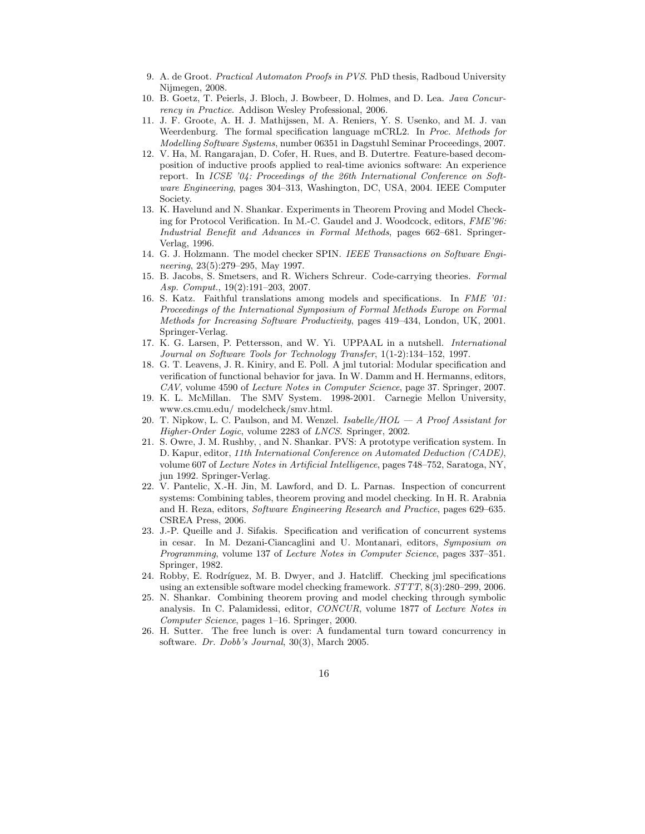- 9. A. de Groot. *Practical Automaton Proofs in PVS*. PhD thesis, Radboud University Nijmegen, 2008.
- 10. B. Goetz, T. Peierls, J. Bloch, J. Bowbeer, D. Holmes, and D. Lea. *Java Concurrency in Practice*. Addison Wesley Professional, 2006.
- 11. J. F. Groote, A. H. J. Mathijssen, M. A. Reniers, Y. S. Usenko, and M. J. van Weerdenburg. The formal specification language mCRL2. In *Proc. Methods for Modelling Software Systems*, number 06351 in Dagstuhl Seminar Proceedings, 2007.
- 12. V. Ha, M. Rangarajan, D. Cofer, H. Rues, and B. Dutertre. Feature-based decomposition of inductive proofs applied to real-time avionics software: An experience report. In *ICSE '04: Proceedings of the 26th International Conference on Software Engineering*, pages 304–313, Washington, DC, USA, 2004. IEEE Computer Society.
- 13. K. Havelund and N. Shankar. Experiments in Theorem Proving and Model Checking for Protocol Verification. In M.-C. Gaudel and J. Woodcock, editors, *FME'96: Industrial Benefit and Advances in Formal Methods*, pages 662–681. Springer-Verlag, 1996.
- 14. G. J. Holzmann. The model checker SPIN. *IEEE Transactions on Software Engineering*, 23(5):279–295, May 1997.
- 15. B. Jacobs, S. Smetsers, and R. Wichers Schreur. Code-carrying theories. *Formal Asp. Comput.*, 19(2):191–203, 2007.
- 16. S. Katz. Faithful translations among models and specifications. In *FME '01: Proceedings of the International Symposium of Formal Methods Europe on Formal Methods for Increasing Software Productivity*, pages 419–434, London, UK, 2001. Springer-Verlag.
- 17. K. G. Larsen, P. Pettersson, and W. Yi. UPPAAL in a nutshell. *International Journal on Software Tools for Technology Transfer*, 1(1-2):134–152, 1997.
- 18. G. T. Leavens, J. R. Kiniry, and E. Poll. A jml tutorial: Modular specification and verification of functional behavior for java. In W. Damm and H. Hermanns, editors, *CAV*, volume 4590 of *Lecture Notes in Computer Science*, page 37. Springer, 2007.
- 19. K. L. McMillan. The SMV System. 1998-2001. Carnegie Mellon University, www.cs.cmu.edu/ modelcheck/smv.html.
- 20. T. Nipkow, L. C. Paulson, and M. Wenzel. *Isabelle/HOL A Proof Assistant for Higher-Order Logic*, volume 2283 of *LNCS*. Springer, 2002.
- 21. S. Owre, J. M. Rushby, , and N. Shankar. PVS: A prototype verification system. In D. Kapur, editor, *11th International Conference on Automated Deduction (CADE)*, volume 607 of *Lecture Notes in Artificial Intelligence*, pages 748–752, Saratoga, NY, jun 1992. Springer-Verlag.
- 22. V. Pantelic, X.-H. Jin, M. Lawford, and D. L. Parnas. Inspection of concurrent systems: Combining tables, theorem proving and model checking. In H. R. Arabnia and H. Reza, editors, *Software Engineering Research and Practice*, pages 629–635. CSREA Press, 2006.
- 23. J.-P. Queille and J. Sifakis. Specification and verification of concurrent systems in cesar. In M. Dezani-Ciancaglini and U. Montanari, editors, *Symposium on Programming*, volume 137 of *Lecture Notes in Computer Science*, pages 337–351. Springer, 1982.
- 24. Robby, E. Rodríguez, M. B. Dwyer, and J. Hatcliff. Checking jml specifications using an extensible software model checking framework. *STTT*, 8(3):280–299, 2006.
- 25. N. Shankar. Combining theorem proving and model checking through symbolic analysis. In C. Palamidessi, editor, *CONCUR*, volume 1877 of *Lecture Notes in Computer Science*, pages 1–16. Springer, 2000.
- 26. H. Sutter. The free lunch is over: A fundamental turn toward concurrency in software. *Dr. Dobb's Journal*, 30(3), March 2005.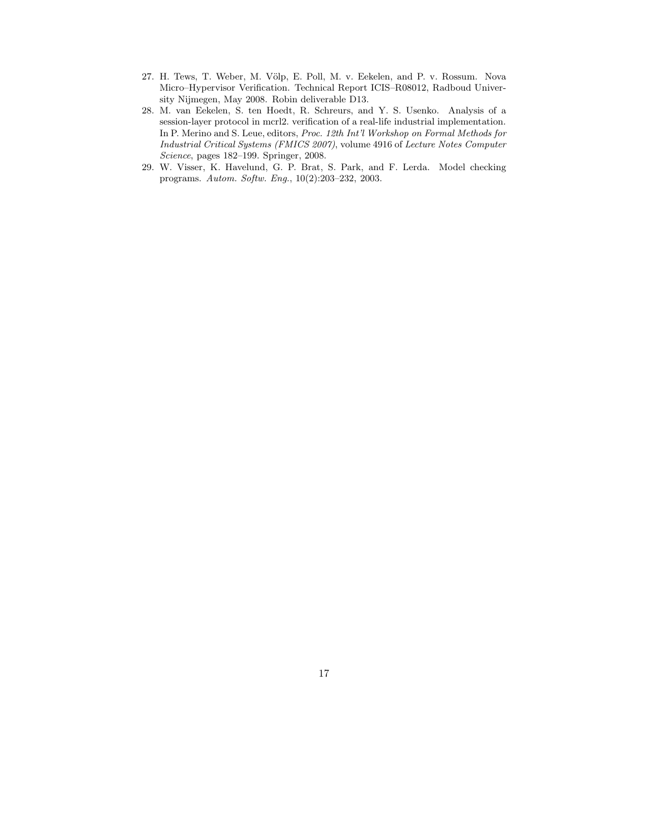- 27. H. Tews, T. Weber, M. Völp, E. Poll, M. v. Eekelen, and P. v. Rossum. Nova Micro–Hypervisor Verification. Technical Report ICIS–R08012, Radboud University Nijmegen, May 2008. Robin deliverable D13.
- 28. M. van Eekelen, S. ten Hoedt, R. Schreurs, and Y. S. Usenko. Analysis of a session-layer protocol in mcrl2. verification of a real-life industrial implementation. In P. Merino and S. Leue, editors, *Proc. 12th Int'l Workshop on Formal Methods for Industrial Critical Systems (FMICS 2007)*, volume 4916 of *Lecture Notes Computer Science*, pages 182–199. Springer, 2008.
- 29. W. Visser, K. Havelund, G. P. Brat, S. Park, and F. Lerda. Model checking programs. *Autom. Softw. Eng.*, 10(2):203–232, 2003.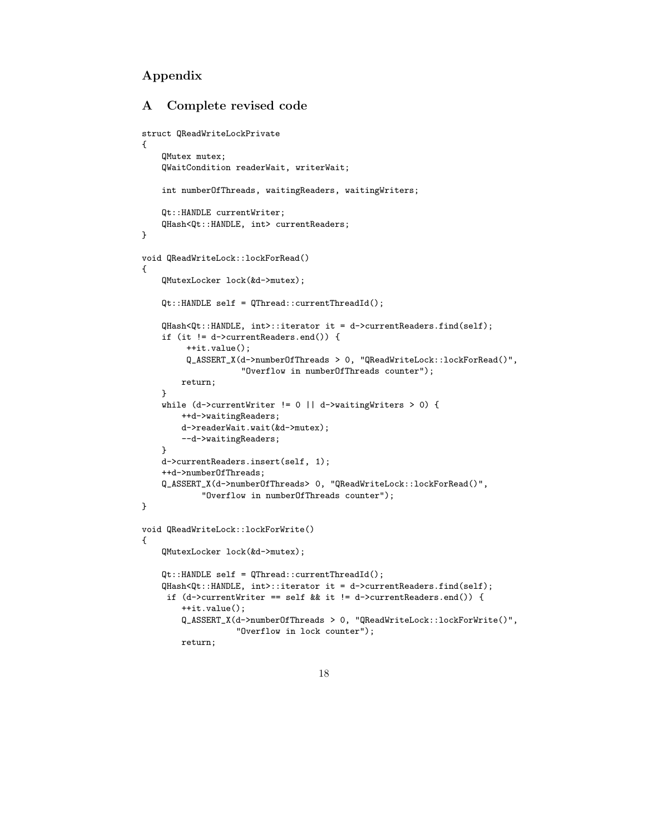# Appendix

# A Complete revised code

```
struct QReadWriteLockPrivate
{
    QMutex mutex;
    QWaitCondition readerWait, writerWait;
    int numberOfThreads, waitingReaders, waitingWriters;
    Qt::HANDLE currentWriter;
    QHash<Qt::HANDLE, int> currentReaders;
}
void QReadWriteLock::lockForRead()
{
    QMutexLocker lock(&d->mutex);
    Qt::HANDLE self = QThread::currentThreadId();
    QHash<Qt::HANDLE, int>::iterator it = d->currentReaders.find(self);
    if (it != d->currentReaders.end()) {
         ++it.value();
        Q_ASSERT_X(d->numberOfThreads > 0, "QReadWriteLock::lockForRead()",
                    "Overflow in numberOfThreads counter");
       return;
   }
    while (d->currentWriter != 0 || d->waitingWriters > 0) {
       ++d->waitingReaders;
       d->readerWait.wait(&d->mutex);
       --d->waitingReaders;
    }
    d->currentReaders.insert(self, 1);
    ++d->numberOfThreads;
    Q_ASSERT_X(d->numberOfThreads> 0, "QReadWriteLock::lockForRead()",
            "Overflow in numberOfThreads counter");
}
void QReadWriteLock::lockForWrite()
{
    QMutexLocker lock(&d->mutex);
    Qt::HANDLE self = QThread::currentThreadId();
    QHash<Qt::HANDLE, int>::iterator it = d->currentReaders.find(self);
    if (d->currentWriter == self && it != d->currentReaders.end()) {
       ++it.value();
       Q_ASSERT_X(d->numberOfThreads > 0, "QReadWriteLock::lockForWrite()",
                   "Overflow in lock counter");
       return;
```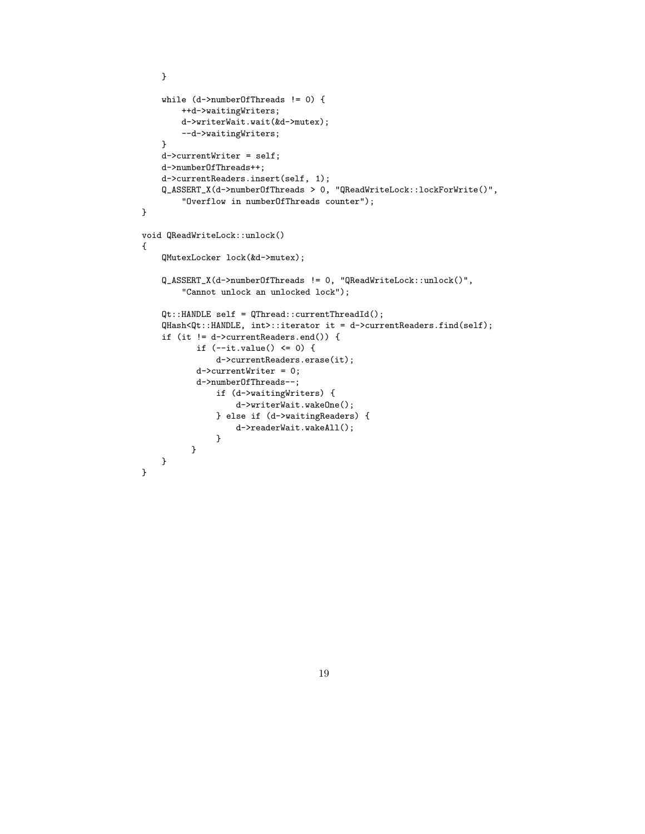```
}
    while (d->numberOfThreads != 0) {
        ++d->waitingWriters;
        d->writerWait.wait(&d->mutex);
        --d->waitingWriters;
    }
    d->currentWriter = self;
    d->numberOfThreads++;
    d->currentReaders.insert(self, 1);
    Q_ASSERT_X(d->numberOfThreads > 0, "QReadWriteLock::lockForWrite()",
        "Overflow in numberOfThreads counter");
}
void QReadWriteLock::unlock()
{
    QMutexLocker lock(&d->mutex);
    Q_ASSERT_X(d->numberOfThreads != 0, "QReadWriteLock::unlock()",
        "Cannot unlock an unlocked lock");
    Qt::HANDLE self = QThread::currentThreadId();
    QHash<Qt::HANDLE, int>::iterator it = d->currentReaders.find(self);
    if (it != d->currentReaders.end()) {
           if (--it.value() \le 0) {
               d->currentReaders.erase(it);
           d->currentWriter = 0;
           d->numberOfThreads--;
               if (d->waitingWriters) {
                   d->writerWait.wakeOne();
               } else if (d->waitingReaders) {
                   d->readerWait.wakeAll();
               }
          }
   }
}
```